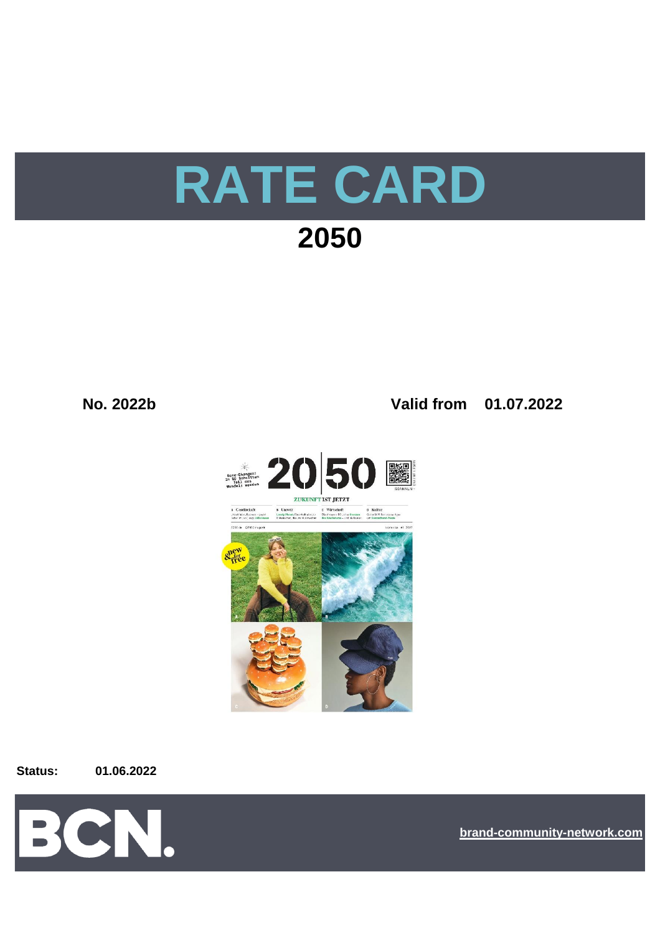# **RATE CARD 2050**

### **No. 2022b Valid from 01.07.2022**



**Status: 01.06.2022**



**[bra](https://bcn.burda.com/)nd-community-network.com**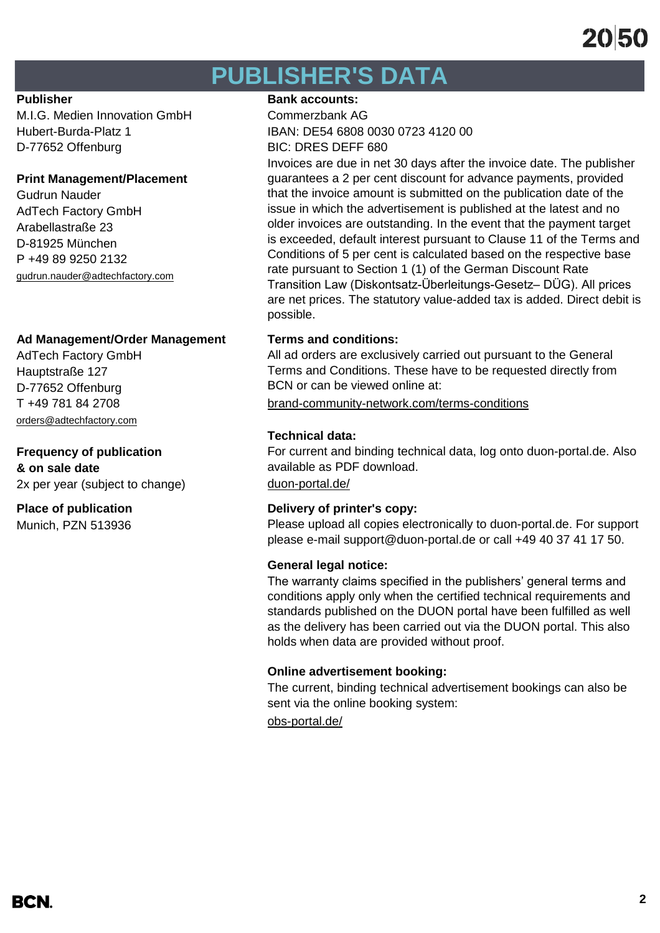## **PUBLISHER'S DATA**

M.I.G. Medien Innovation GmbH Commerzbank AG D-77652 Offenburg BIC: DRES DEFF 680

#### **Print Management/Placement**

Gudrun Nauder AdTech Factory GmbH Arabellastraße 23 D-81925 München P +49 89 9250 2132 [gudrun.nauder@adtechfactory.com](mailto:gudrun.nauder@adtechfactory.com)

#### **Ad Management/Order Management Terms and conditions:**

AdTech Factory GmbH Hauptstraße 127 D-77652 Offenburg [orders@adtechfactory.com](mailto:orders@adtechfactory.com)

### **Frequency of publication**

**& on sale date** 2x per year (subject to change) [duon-portal.de/](https://duon-portal.de/)

Munich, PZN 513936

#### **Publisher Bank accounts: Bank accounts:**

Hubert-Burda-Platz 1 IBAN: DE54 6808 0030 0723 4120 00

Invoices are due in net 30 days after the invoice date. The publisher guarantees a 2 per cent discount for advance payments, provided that the invoice amount is submitted on the publication date of the issue in which the advertisement is published at the latest and no older invoices are outstanding. In the event that the payment target is exceeded, default interest pursuant to Clause 11 of the Terms and Conditions of 5 per cent is calculated based on the respective base rate pursuant to Section 1 (1) of the German Discount Rate Transition Law (Diskontsatz-Überleitungs-Gesetz– DÜG). All prices are net prices. The statutory value-added tax is added. Direct debit is possible.

All ad orders are exclusively carried out pursuant to the General Terms and Conditions. These have to be requested directly from BCN or can be viewed online at:

T +49 781 84 2708 [brand-community-network.com/terms-conditions](https://bcn.burda.com/terms-conditions)

### **Technical data:**

For current and binding technical data, log onto duon-portal.de. Also available as PDF download.

#### **Place of publication Delivery of printer's copy:**

Please upload all copies electronically to duon-portal.de. For support please e-mail support@duon-portal.de or call +49 40 37 41 17 50.

#### **General legal notice:**

The warranty claims specified in the publishers' general terms and conditions apply only when the certified technical requirements and standards published on the DUON portal have been fulfilled as well as the delivery has been carried out via the DUON portal. This also holds when data are provided without proof.

#### **Online advertisement booking:**

The current, binding technical advertisement bookings can also be sent via the online booking system:

[obs-portal.de/](https://www.obs-portal.de/)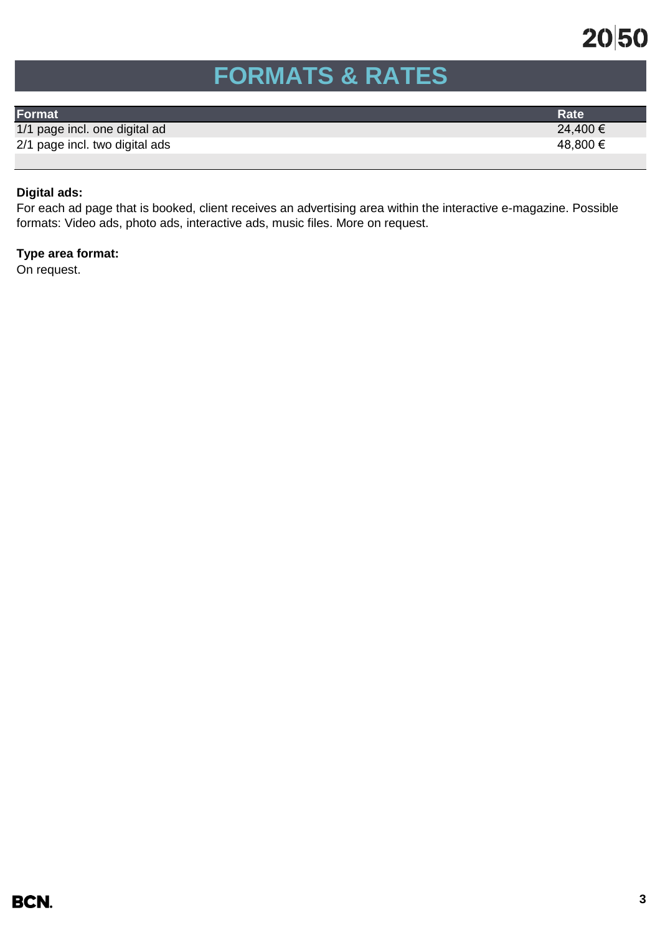

## **FORMATS & RATES**

| Format                         | <b>Rate</b> |
|--------------------------------|-------------|
| 1/1 page incl. one digital ad  | 24,400 €    |
| 2/1 page incl. two digital ads | 48,800 €    |
|                                |             |

### **Digital ads:**

For each ad page that is booked, client receives an advertising area within the interactive e-magazine. Possible formats: Video ads, photo ads, interactive ads, music files. More on request.

### **Type area format:**

On request.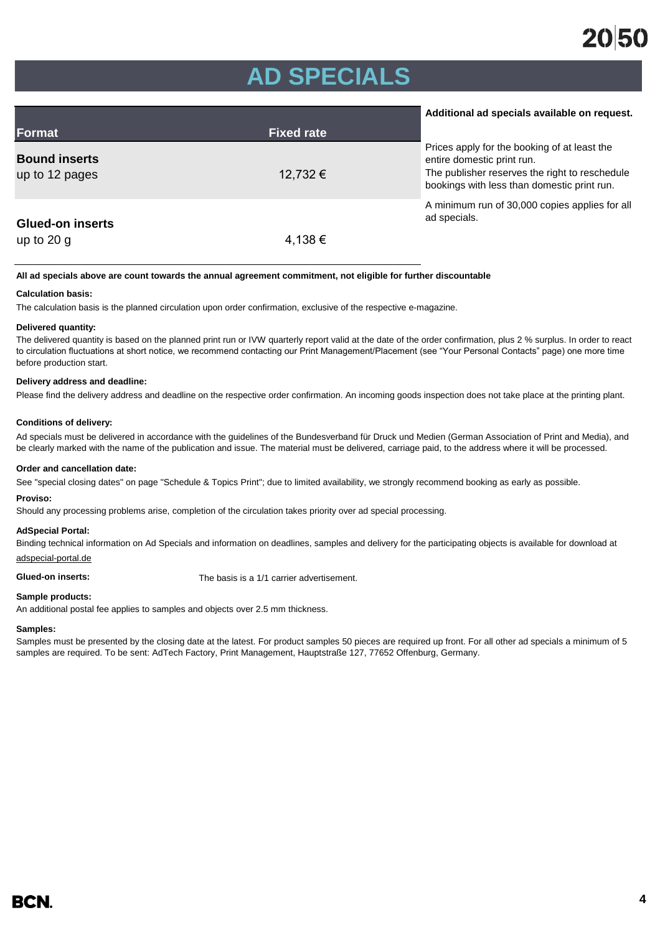## **AD SPECIALS**

|                                        |                   | Additional ad specials available on request.                                                                                                                                |
|----------------------------------------|-------------------|-----------------------------------------------------------------------------------------------------------------------------------------------------------------------------|
| Format                                 | <b>Fixed rate</b> |                                                                                                                                                                             |
| <b>Bound inserts</b><br>up to 12 pages | 12,732 €          | Prices apply for the booking of at least the<br>entire domestic print run.<br>The publisher reserves the right to reschedule<br>bookings with less than domestic print run. |
| <b>Glued-on inserts</b>                |                   | A minimum run of 30,000 copies applies for all<br>ad specials.                                                                                                              |
| up to $20q$                            | 4,138 €           |                                                                                                                                                                             |

#### **All ad specials above are count towards the annual agreement commitment, not eligible for further discountable**

#### **Calculation basis:**

The calculation basis is the planned circulation upon order confirmation, exclusive of the respective e-magazine.

#### **Delivered quantity:**

The delivered quantity is based on the planned print run or IVW quarterly report valid at the date of the order confirmation, plus 2 % surplus. In order to react to circulation fluctuations at short notice, we recommend contacting our Print Management/Placement (see "Your Personal Contacts" page) one more time before production start.

#### **Delivery address and deadline:**

Please find the delivery address and deadline on the respective order confirmation. An incoming goods inspection does not take place at the printing plant.

#### **Conditions of delivery:**

Ad specials must be delivered in accordance with the guidelines of the Bundesverband für Druck und Medien (German Association of Print and Media), and be clearly marked with the name of the publication and issue. The material must be delivered, carriage paid, to the address where it will be processed.

#### **Order and cancellation date:**

See "special closing dates" on page "Schedule & Topics Print"; due to limited availability, we strongly recommend booking as early as possible.

#### **Proviso:**

Should any processing problems arise, completion of the circulation takes priority over ad special processing.

#### **AdSpecial Portal:**

Binding technical information on Ad Specials and information on deadlines, samples and delivery for the participating objects is available for download at adspecial-portal.de

**Glued-on inserts:** The basis is a 1/1 carrier advertisement.

#### **Sample products:**

An additional postal fee applies to samples and objects over 2.5 mm thickness.

#### **Samples:**

Samples must be presented by the closing date at the latest. For product samples 50 pieces are required up front. For all other ad specials a minimum of 5 samples are required. To be sent: AdTech Factory, Print Management, Hauptstraße 127, 77652 Offenburg, Germany.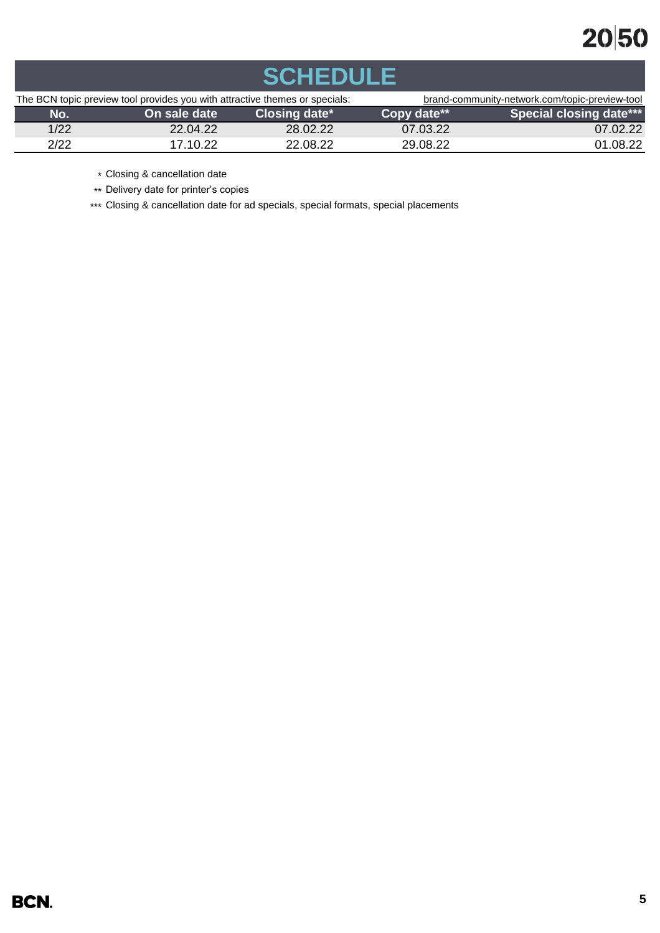## 2050

| <b>SCHEDULE</b>                                                             |              |               |                                                |                                |  |
|-----------------------------------------------------------------------------|--------------|---------------|------------------------------------------------|--------------------------------|--|
| The BCN topic preview tool provides you with attractive themes or specials: |              |               | brand-community-network.com/topic-preview-tool |                                |  |
| No.                                                                         | On sale date | Closing date* | Copy date**                                    | <b>Special closing date***</b> |  |
| 1/22                                                                        | 22.04.22     | 28.02.22      | 07.03.22                                       | 07.02.22                       |  |
| 2/22                                                                        | 17.10.22     | 22.08.22      | 29.08.22                                       | 01.08.22                       |  |

\* Closing & cancellation date

\*\* Delivery date for printer's copies

\*\*\* Closing & cancellation date for ad specials, special formats, special placements